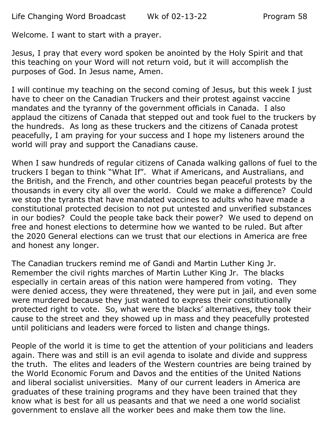Welcome. I want to start with a prayer.

Jesus, I pray that every word spoken be anointed by the Holy Spirit and that this teaching on your Word will not return void, but it will accomplish the purposes of God. In Jesus name, Amen.

I will continue my teaching on the second coming of Jesus, but this week I just have to cheer on the Canadian Truckers and their protest against vaccine mandates and the tyranny of the government officials in Canada. I also applaud the citizens of Canada that stepped out and took fuel to the truckers by the hundreds. As long as these truckers and the citizens of Canada protest peacefully, I am praying for your success and I hope my listeners around the world will pray and support the Canadians cause.

When I saw hundreds of regular citizens of Canada walking gallons of fuel to the truckers I began to think "What If". What if Americans, and Australians, and the British, and the French, and other countries began peaceful protests by the thousands in every city all over the world. Could we make a difference? Could we stop the tyrants that have mandated vaccines to adults who have made a constitutional protected decision to not put untested and unverified substances in our bodies? Could the people take back their power? We used to depend on free and honest elections to determine how we wanted to be ruled. But after the 2020 General elections can we trust that our elections in America are free and honest any longer.

The Canadian truckers remind me of Gandi and Martin Luther King Jr. Remember the civil rights marches of Martin Luther King Jr. The blacks especially in certain areas of this nation were hampered from voting. They were denied access, they were threatened, they were put in jail, and even some were murdered because they just wanted to express their constitutionally protected right to vote. So, what were the blacks' alternatives, they took their cause to the street and they showed up in mass and they peacefully protested until politicians and leaders were forced to listen and change things.

People of the world it is time to get the attention of your politicians and leaders again. There was and still is an evil agenda to isolate and divide and suppress the truth. The elites and leaders of the Western countries are being trained by the World Economic Forum and Davos and the entities of the United Nations and liberal socialist universities. Many of our current leaders in America are graduates of these training programs and they have been trained that they know what is best for all us peasants and that we need a one world socialist government to enslave all the worker bees and make them tow the line.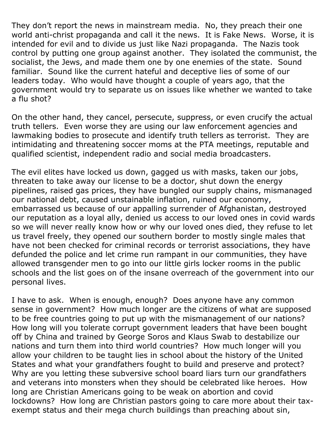They don't report the news in mainstream media. No, they preach their one world anti-christ propaganda and call it the news. It is Fake News. Worse, it is intended for evil and to divide us just like Nazi propaganda. The Nazis took control by putting one group against another. They isolated the communist, the socialist, the Jews, and made them one by one enemies of the state. Sound familiar. Sound like the current hateful and deceptive lies of some of our leaders today. Who would have thought a couple of years ago, that the government would try to separate us on issues like whether we wanted to take a flu shot?

On the other hand, they cancel, persecute, suppress, or even crucify the actual truth tellers. Even worse they are using our law enforcement agencies and lawmaking bodies to prosecute and identify truth tellers as terrorist. They are intimidating and threatening soccer moms at the PTA meetings, reputable and qualified scientist, independent radio and social media broadcasters.

The evil elites have locked us down, gagged us with masks, taken our jobs, threaten to take away our license to be a doctor, shut down the energy pipelines, raised gas prices, they have bungled our supply chains, mismanaged our national debt, caused unstainable inflation, ruined our economy, embarrassed us because of our appalling surrender of Afghanistan, destroyed our reputation as a loyal ally, denied us access to our loved ones in covid wards so we will never really know how or why our loved ones died, they refuse to let us travel freely, they opened our southern border to mostly single males that have not been checked for criminal records or terrorist associations, they have defunded the police and let crime run rampant in our communities, they have allowed transgender men to go into our little girls locker rooms in the public schools and the list goes on of the insane overreach of the government into our personal lives.

I have to ask. When is enough, enough? Does anyone have any common sense in government? How much longer are the citizens of what are supposed to be free countries going to put up with the mismanagement of our nations? How long will you tolerate corrupt government leaders that have been bought off by China and trained by George Soros and Klaus Swab to destabilize our nations and turn them into third world countries? How much longer will you allow your children to be taught lies in school about the history of the United States and what your grandfathers fought to build and preserve and protect? Why are you letting these subversive school board liars turn our grandfathers and veterans into monsters when they should be celebrated like heroes. How long are Christian Americans going to be weak on abortion and covid lockdowns? How long are Christian pastors going to care more about their taxexempt status and their mega church buildings than preaching about sin,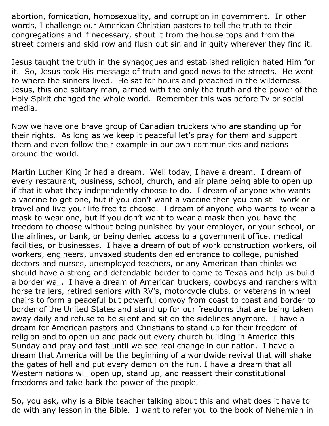abortion, fornication, homosexuality, and corruption in government. In other words, I challenge our American Christian pastors to tell the truth to their congregations and if necessary, shout it from the house tops and from the street corners and skid row and flush out sin and iniquity wherever they find it.

Jesus taught the truth in the synagogues and established religion hated Him for it. So, Jesus took His message of truth and good news to the streets. He went to where the sinners lived. He sat for hours and preached in the wilderness. Jesus, this one solitary man, armed with the only the truth and the power of the Holy Spirit changed the whole world. Remember this was before Tv or social media.

Now we have one brave group of Canadian truckers who are standing up for their rights. As long as we keep it peaceful let's pray for them and support them and even follow their example in our own communities and nations around the world.

Martin Luther King Jr had a dream. Well today, I have a dream. I dream of every restaurant, business, school, church, and air plane being able to open up if that it what they independently choose to do. I dream of anyone who wants a vaccine to get one, but if you don't want a vaccine then you can still work or travel and live your life free to choose. I dream of anyone who wants to wear a mask to wear one, but if you don't want to wear a mask then you have the freedom to choose without being punished by your employer, or your school, or the airlines, or bank, or being denied access to a government office, medical facilities, or businesses. I have a dream of out of work construction workers, oil workers, engineers, unvaxed students denied entrance to college, punished doctors and nurses, unemployed teachers, or any American than thinks we should have a strong and defendable border to come to Texas and help us build a border wall. I have a dream of American truckers, cowboys and ranchers with horse trailers, retired seniors with RV's, motorcycle clubs, or veterans in wheel chairs to form a peaceful but powerful convoy from coast to coast and border to border of the United States and stand up for our freedoms that are being taken away daily and refuse to be silent and sit on the sidelines anymore. I have a dream for American pastors and Christians to stand up for their freedom of religion and to open up and pack out every church building in America this Sunday and pray and fast until we see real change in our nation. I have a dream that America will be the beginning of a worldwide revival that will shake the gates of hell and put every demon on the run. I have a dream that all Western nations will open up, stand up, and reassert their constitutional freedoms and take back the power of the people.

So, you ask, why is a Bible teacher talking about this and what does it have to do with any lesson in the Bible. I want to refer you to the book of Nehemiah in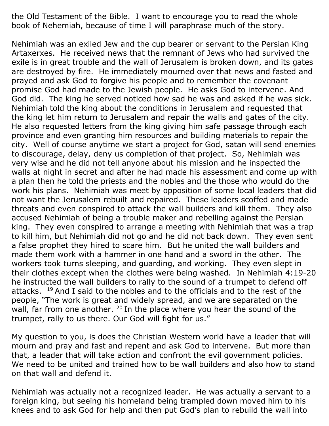the Old Testament of the Bible. I want to encourage you to read the whole book of Nehemiah, because of time I will paraphrase much of the story.

Nehimiah was an exiled Jew and the cup bearer or servant to the Persian King Artaxerxes. He received news that the remnant of Jews who had survived the exile is in great trouble and the wall of Jerusalem is broken down, and its gates are destroyed by fire. He immediately mourned over that news and fasted and prayed and ask God to forgive his people and to remember the covenant promise God had made to the Jewish people. He asks God to intervene. And God did. The king he served noticed how sad he was and asked if he was sick. Nehimiah told the king about the conditions in Jerusalem and requested that the king let him return to Jerusalem and repair the walls and gates of the city. He also requested letters from the king giving him safe passage through each province and even granting him resources and building materials to repair the city. Well of course anytime we start a project for God, satan will send enemies to discourage, delay, deny us completion of that project. So, Nehimiah was very wise and he did not tell anyone about his mission and he inspected the walls at night in secret and after he had made his assessment and come up with a plan then he told the priests and the nobles and the those who would do the work his plans. Nehimiah was meet by opposition of some local leaders that did not want the Jerusalem rebuilt and repaired. These leaders scoffed and made threats and even conspired to attack the wall builders and kill them. They also accused Nehimiah of being a trouble maker and rebelling against the Persian king. They even conspired to arrange a meeting with Nehimiah that was a trap to kill him, but Nehimiah did not go and he did not back down. They even sent a false prophet they hired to scare him. But he united the wall builders and made them work with a hammer in one hand and a sword in the other. The workers took turns sleeping, and guarding, and working. They even slept in their clothes except when the clothes were being washed. In Nehimiah 4:19-20 he instructed the wall builders to rally to the sound of a trumpet to defend off attacks.  $19$  And I said to the nobles and to the officials and to the rest of the people, "The work is great and widely spread, and we are separated on the wall, far from one another. <sup>20</sup> In the place where you hear the sound of the trumpet, rally to us there. Our God will fight for us."

My question to you, is does the Christian Western world have a leader that will mourn and pray and fast and repent and ask God to intervene. But more than that, a leader that will take action and confront the evil government policies. We need to be united and trained how to be wall builders and also how to stand on that wall and defend it.

Nehimiah was actually not a recognized leader. He was actually a servant to a foreign king, but seeing his homeland being trampled down moved him to his knees and to ask God for help and then put God's plan to rebuild the wall into